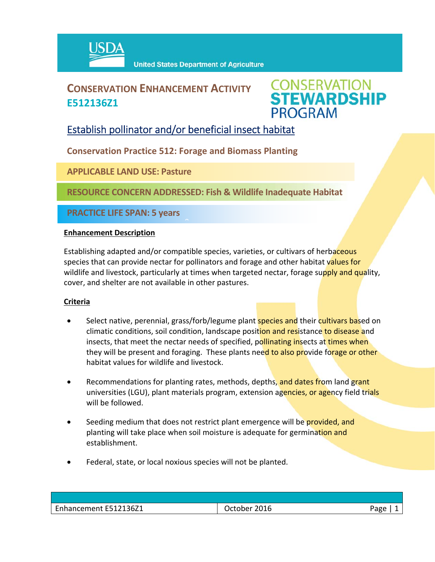

## **CONSERVATION ENHANCEMENT ACTIVITY E512136Z1**



### Establish pollinator and/or beneficial insect habitat

**Conservation Practice 512: Forage and Biomass Planting**

 $\hat{a}$ 

**APPLICABLE LAND USE: Pasture**

**RESOURCE CONCERN ADDRESSED: Fish & Wildlife Inadequate Habitat** 

**PRACTICE LIFE SPAN: 5 years**

#### **Enhancement Description**

Establishing adapted and/or compatible species, varieties, or cultivars of herbaceous species that can provide nectar for pollinators and forage and other habitat values for wildlife and livestock, particularly at times when targeted nectar, forage supply and quality, cover, and shelter are not available in other pastures.

#### **Criteria**

- Select native, perennial, grass/forb/legume plant **species and** their cultivars based on climatic conditions, soil condition, landscape position and resistance to disease and insects, that meet the nectar needs of specified, pollinating insects at times when they will be present and foraging. These plants need to also provide forage or other habitat values for wildlife and livestock.
- Recommendations for planting rates, methods, depths, and dates from land grant universities (LGU), plant materials program, extension agencies, or agency field trials will be followed.
- Seeding medium that does not restrict plant emergence will be provided, and planting will take place when soil moisture is adequate for germination and establishment.
- Federal, state, or local noxious species will not be planted.

| Enhancement E512136Z1 | October 2016 | Page |
|-----------------------|--------------|------|